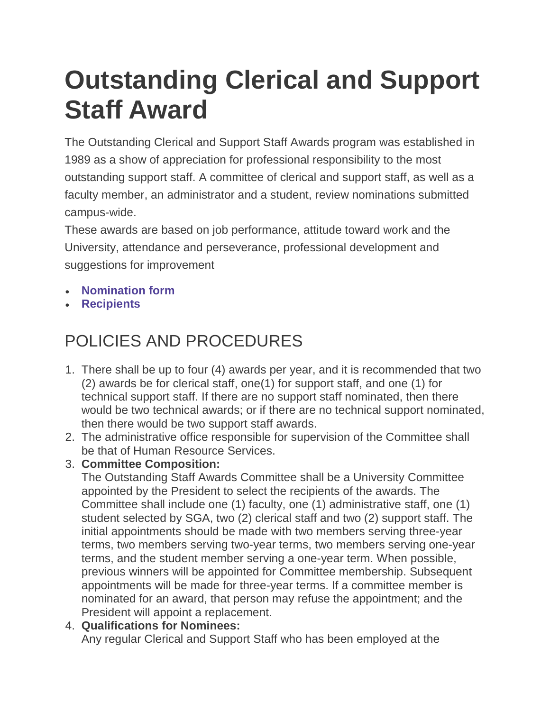# **Outstanding Clerical and Support Staff Award**

The Outstanding Clerical and Support Staff Awards program was established in 1989 as a show of appreciation for professional responsibility to the most outstanding support staff. A committee of clerical and support staff, as well as a faculty member, an administrator and a student, review nominations submitted campus-wide.

These awards are based on job performance, attitude toward work and the University, attendance and perseverance, professional development and suggestions for improvement

- **[Nomination form](https://www.tntech.edu/planning-and-finance/hr/awards/outstandingnomination)**
- **[Recipients](https://www.tntech.edu/planning-and-finance/hr/awards/clericalsupportrecipients)**

## POLICIES AND PROCEDURES

- 1. There shall be up to four (4) awards per year, and it is recommended that two (2) awards be for clerical staff, one(1) for support staff, and one (1) for technical support staff. If there are no support staff nominated, then there would be two technical awards; or if there are no technical support nominated, then there would be two support staff awards.
- 2. The administrative office responsible for supervision of the Committee shall be that of Human Resource Services.
- 3. **Committee Composition:**

The Outstanding Staff Awards Committee shall be a University Committee appointed by the President to select the recipients of the awards. The Committee shall include one (1) faculty, one (1) administrative staff, one (1) student selected by SGA, two (2) clerical staff and two (2) support staff. The initial appointments should be made with two members serving three-year terms, two members serving two-year terms, two members serving one-year terms, and the student member serving a one-year term. When possible, previous winners will be appointed for Committee membership. Subsequent appointments will be made for three-year terms. If a committee member is nominated for an award, that person may refuse the appointment; and the President will appoint a replacement.

#### 4. **Qualifications for Nominees:**

Any regular Clerical and Support Staff who has been employed at the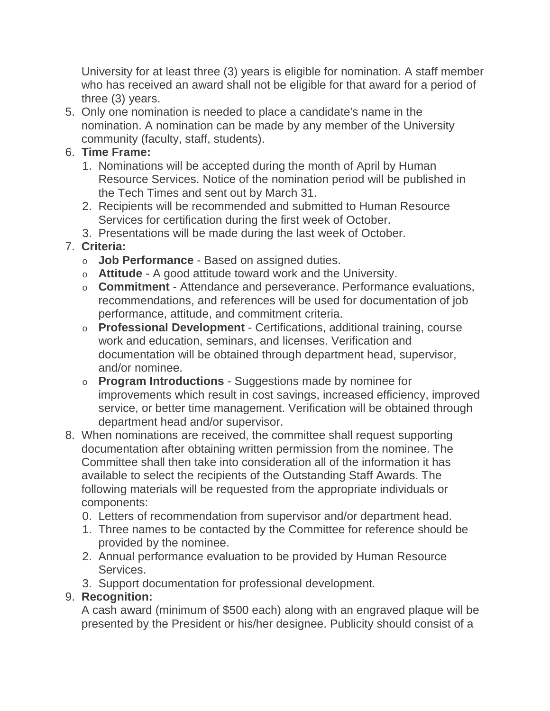University for at least three (3) years is eligible for nomination. A staff member who has received an award shall not be eligible for that award for a period of three (3) years.

5. Only one nomination is needed to place a candidate's name in the nomination. A nomination can be made by any member of the University community (faculty, staff, students).

#### 6. **Time Frame:**

- 1. Nominations will be accepted during the month of April by Human Resource Services. Notice of the nomination period will be published in the Tech Times and sent out by March 31.
- 2. Recipients will be recommended and submitted to Human Resource Services for certification during the first week of October.
- 3. Presentations will be made during the last week of October.

### 7. **Criteria:**

- o **Job Performance** Based on assigned duties.
- o **Attitude** A good attitude toward work and the University.
- o **Commitment** Attendance and perseverance. Performance evaluations, recommendations, and references will be used for documentation of job performance, attitude, and commitment criteria.
- o **Professional Development** Certifications, additional training, course work and education, seminars, and licenses. Verification and documentation will be obtained through department head, supervisor, and/or nominee.
- o **Program Introductions** Suggestions made by nominee for improvements which result in cost savings, increased efficiency, improved service, or better time management. Verification will be obtained through department head and/or supervisor.
- 8. When nominations are received, the committee shall request supporting documentation after obtaining written permission from the nominee. The Committee shall then take into consideration all of the information it has available to select the recipients of the Outstanding Staff Awards. The following materials will be requested from the appropriate individuals or components:
	- 0. Letters of recommendation from supervisor and/or department head.
	- 1. Three names to be contacted by the Committee for reference should be provided by the nominee.
	- 2. Annual performance evaluation to be provided by Human Resource Services.
	- 3. Support documentation for professional development.

#### 9. **Recognition:**

A cash award (minimum of \$500 each) along with an engraved plaque will be presented by the President or his/her designee. Publicity should consist of a